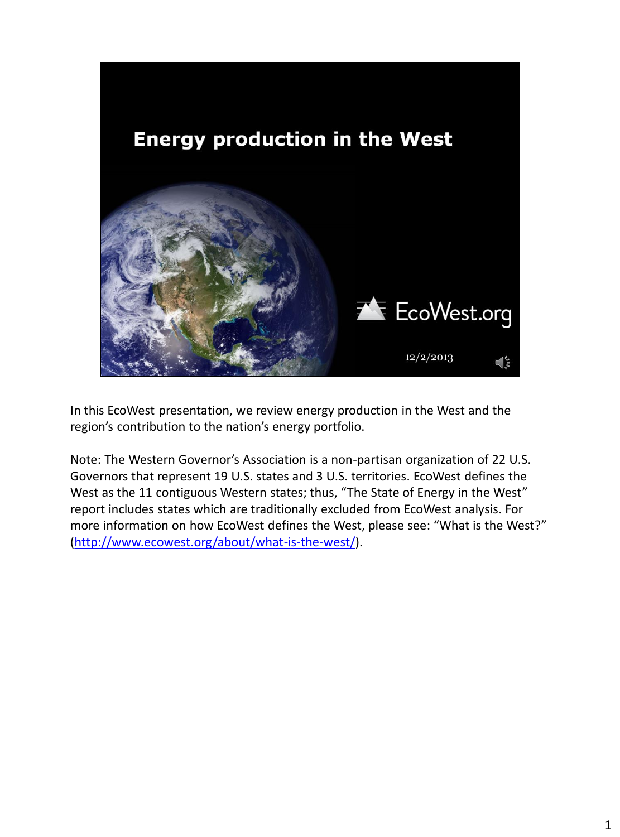

In this EcoWest presentation, we review energy production in the West and the region's contribution to the nation's energy portfolio.

Note: The Western Governor's Association is a non-partisan organization of 22 U.S. Governors that represent 19 U.S. states and 3 U.S. territories. EcoWest defines the West as the 11 contiguous Western states; thus, "The State of Energy in the West" report includes states which are traditionally excluded from EcoWest analysis. For more information on how EcoWest defines the West, please see: "What is the West?" [\(http://www.ecowest.org/about/what-is-the-west/\)](http://www.ecowest.org/about/what-is-the-west/).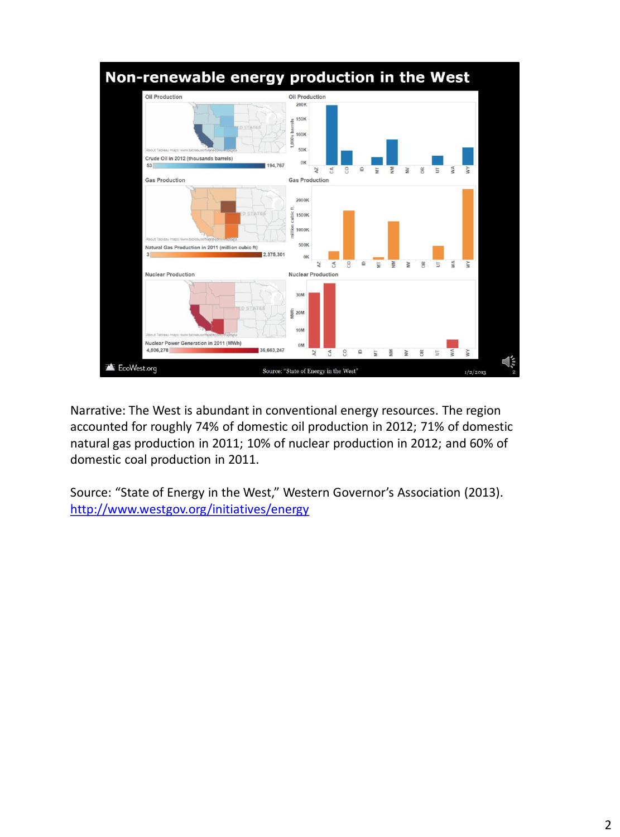

Narrative: The West is abundant in conventional energy resources. The region accounted for roughly 74% of domestic oil production in 2012; 71% of domestic natural gas production in 2011; 10% of nuclear production in 2012; and 60% of domestic coal production in 2011.

Source: "State of Energy in the West," Western Governor's Association (2013). <http://www.westgov.org/initiatives/energy>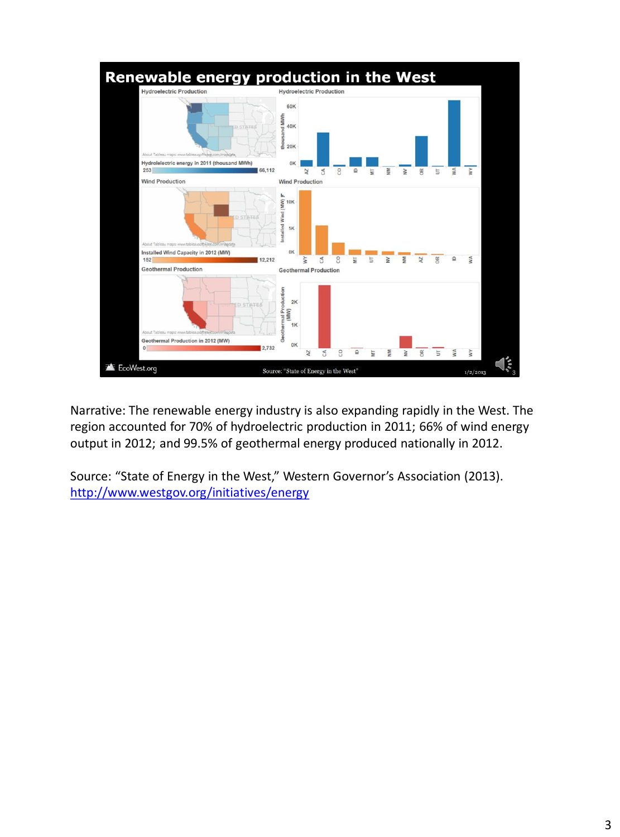

Narrative: The renewable energy industry is also expanding rapidly in the West. The region accounted for 70% of hydroelectric production in 2011; 66% of wind energy output in 2012; and 99.5% of geothermal energy produced nationally in 2012.

Source: "State of Energy in the West," Western Governor's Association (2013). <http://www.westgov.org/initiatives/energy>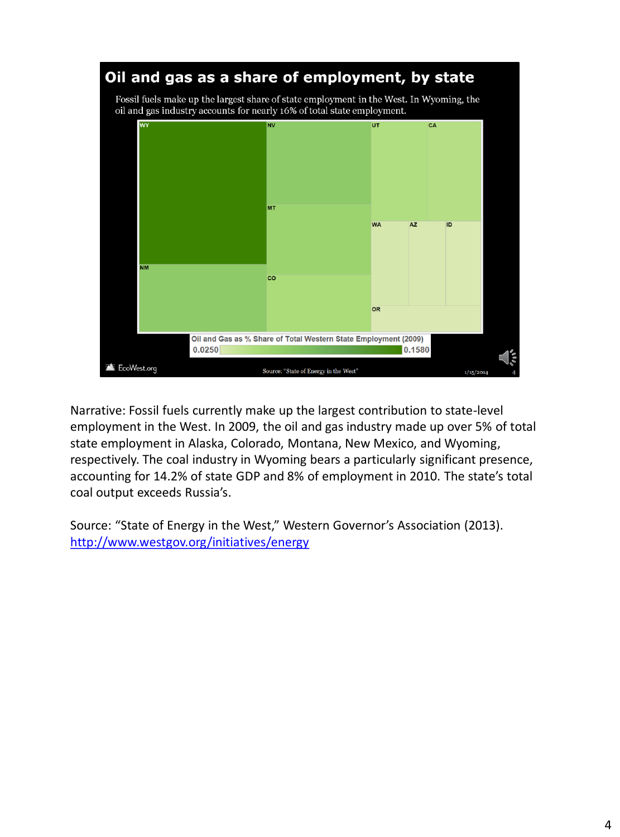

Narrative: Fossil fuels currently make up the largest contribution to state-level employment in the West. In 2009, the oil and gas industry made up over 5% of total state employment in Alaska, Colorado, Montana, New Mexico, and Wyoming, respectively. The coal industry in Wyoming bears a particularly significant presence, accounting for 14.2% of state GDP and 8% of employment in 2010. The state's total coal output exceeds Russia's.

Source: "State of Energy in the West," Western Governor's Association (2013). <http://www.westgov.org/initiatives/energy>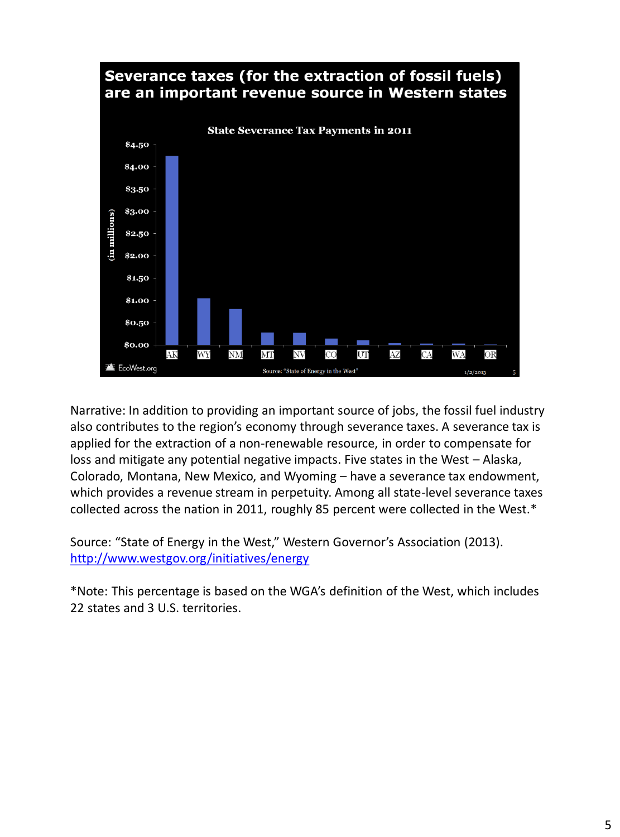

Narrative: In addition to providing an important source of jobs, the fossil fuel industry also contributes to the region's economy through severance taxes. A severance tax is applied for the extraction of a non-renewable resource, in order to compensate for loss and mitigate any potential negative impacts. Five states in the West – Alaska, Colorado, Montana, New Mexico, and Wyoming – have a severance tax endowment, which provides a revenue stream in perpetuity. Among all state-level severance taxes collected across the nation in 2011, roughly 85 percent were collected in the West.\*

Source: "State of Energy in the West," Western Governor's Association (2013). <http://www.westgov.org/initiatives/energy>

\*Note: This percentage is based on the WGA's definition of the West, which includes 22 states and 3 U.S. territories.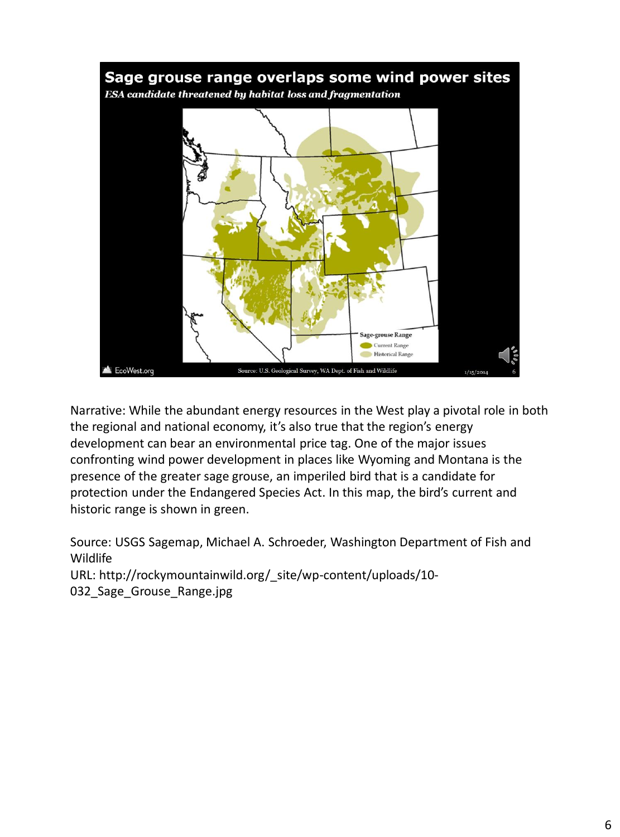

Narrative: While the abundant energy resources in the West play a pivotal role in both the regional and national economy, it's also true that the region's energy development can bear an environmental price tag. One of the major issues confronting wind power development in places like Wyoming and Montana is the presence of the greater sage grouse, an imperiled bird that is a candidate for protection under the Endangered Species Act. In this map, the bird's current and historic range is shown in green.

Source: USGS Sagemap, Michael A. Schroeder, Washington Department of Fish and Wildlife URL: http://rockymountainwild.org/\_site/wp-content/uploads/10- 032 Sage Grouse Range.jpg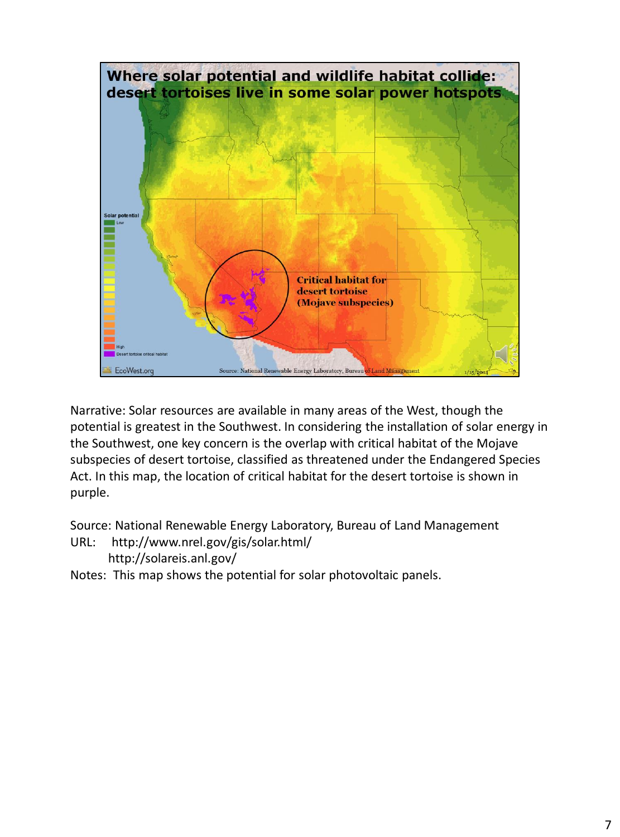

Narrative: Solar resources are available in many areas of the West, though the potential is greatest in the Southwest. In considering the installation of solar energy in the Southwest, one key concern is the overlap with critical habitat of the Mojave subspecies of desert tortoise, classified as threatened under the Endangered Species Act. In this map, the location of critical habitat for the desert tortoise is shown in purple.

Source: National Renewable Energy Laboratory, Bureau of Land Management URL: http://www.nrel.gov/gis/solar.html/

```
 http://solareis.anl.gov/
```
Notes: This map shows the potential for solar photovoltaic panels.